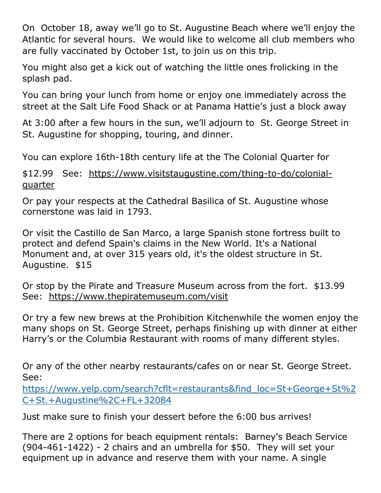On October 18, away we'll go to St. Augustine Beach where we'll enjoy the Atlantic for several hours. We would like to welcome all club members who are fully vaccinated by October 1st, to join us on this trip.

You might also get a kick out of watching the little ones frolicking in the splash pad.

You can bring your lunch from home or enjoy one immediately across the street at the Salt Life Food Shack or at Panama Hattie's just a block away

At 3:00 after a few hours in the sun, we'll adjourn to St. George Street in St. Augustine for shopping, touring, and dinner.

You can explore 16th-18th century life at the The Colonial Quarter for

\$12.99 See: [https://www.visitstaugustine.com/thing-to-do/colonial](about:blank)[quarter](about:blank)

Or pay your respects at the Cathedral Basilica of St. Augustine whose cornerstone was laid in 1793.

Or visit the Castillo de San Marco, a large Spanish stone fortress built to protect and defend Spain's claims in the New World. It's a National Monument and, at over 315 years old, it's the oldest structure in St. Augustine. \$15

Or stop by the Pirate and Treasure Museum across from the fort. \$13.99 See: [https://www.thepiratemuseum.com/visit](about:blank)

Or try a few new brews at the Prohibition Kitchenwhile the women enjoy the many shops on St. George Street, perhaps finishing up with dinner at either Harry's or the Columbia Restaurant with rooms of many different styles.

Or any of the other nearby restaurants/cafes on or near St. George Street. See:

[https://www.yelp.com/search?cflt=restaurants&find\\_loc=St+George+St%2](https://www.yelp.com/search?cflt=restaurants&find_loc=St+George+St%2C+St.+Augustine%2C+FL+32084) [C+St.+Augustine%2C+FL+32084](https://www.yelp.com/search?cflt=restaurants&find_loc=St+George+St%2C+St.+Augustine%2C+FL+32084)

Just make sure to finish your dessert before the 6:00 bus arrives!

There are 2 options for beach equipment rentals: Barney's Beach Service (904-461-1422) - 2 chairs and an umbrella for \$50. They will set your equipment up in advance and reserve them with your name. A single